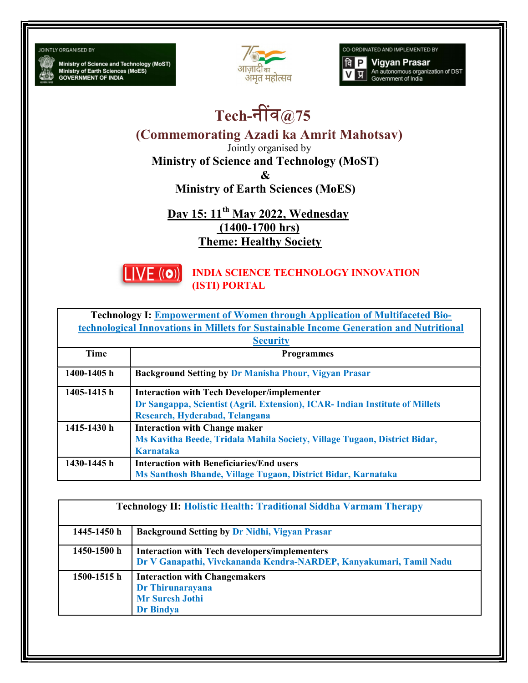**JOINTLY ORGANISED BY** 

Ministry of Science and Technology (MoST)<br>Ministry of Earth Sciences (MoES)<br>GOVERNMENT OF INDIA



CO-ORDINATED AND IMPLEMENTED BY

**Vigyan Prasar**  $a$   $P$ An autonomous organization of DST<br>Government of India प्र

## Tech-नींव $@75$

(Commemorating Azadi ka Amrit Mahotsav)

Jointly organised by

Ministry of Science and Technology (MoST)

&

Ministry of Earth Sciences (MoES)

Day 15: 11<sup>th</sup> May 2022, Wednesday (1400-1700 hrs) Theme: Healthy Society



INDIA SCIENCE TECHNOLOGY INNOVATION (ISTI) PORTAL

| <b>Technology I: Empowerment of Women through Application of Multifaceted Bio-</b>     |                                                                              |  |
|----------------------------------------------------------------------------------------|------------------------------------------------------------------------------|--|
| technological Innovations in Millets for Sustainable Income Generation and Nutritional |                                                                              |  |
| <b>Security</b>                                                                        |                                                                              |  |
| <b>Time</b>                                                                            | <b>Programmes</b>                                                            |  |
| 1400-1405 h                                                                            | <b>Background Setting by Dr Manisha Phour, Vigyan Prasar</b>                 |  |
| 1405-1415 h                                                                            | <b>Interaction with Tech Developer/implementer</b>                           |  |
|                                                                                        | Dr Sangappa, Scientist (Agril. Extension), ICAR- Indian Institute of Millets |  |
|                                                                                        | Research, Hyderabad, Telangana                                               |  |
| 1415-1430 h                                                                            | <b>Interaction with Change maker</b>                                         |  |
|                                                                                        | Ms Kavitha Beede, Tridala Mahila Society, Village Tugaon, District Bidar,    |  |
|                                                                                        | Karnataka                                                                    |  |
| 1430-1445 h                                                                            | <b>Interaction with Beneficiaries/End users</b>                              |  |
|                                                                                        | Ms Santhosh Bhande, Village Tugaon, District Bidar, Karnataka                |  |

| <b>Technology II: Holistic Health: Traditional Siddha Varmam Therapy</b> |                                                                                                                            |  |
|--------------------------------------------------------------------------|----------------------------------------------------------------------------------------------------------------------------|--|
| 1445-1450 h                                                              | <b>Background Setting by Dr Nidhi, Vigyan Prasar</b>                                                                       |  |
| 1450-1500 h                                                              | <b>Interaction with Tech developers/implementers</b><br>Dr V Ganapathi, Vivekananda Kendra-NARDEP, Kanyakumari, Tamil Nadu |  |
| 1500-1515 h                                                              | <b>Interaction with Changemakers</b><br>Dr Thirunarayana<br><b>Mr Suresh Jothi</b><br><b>Dr Bindya</b>                     |  |